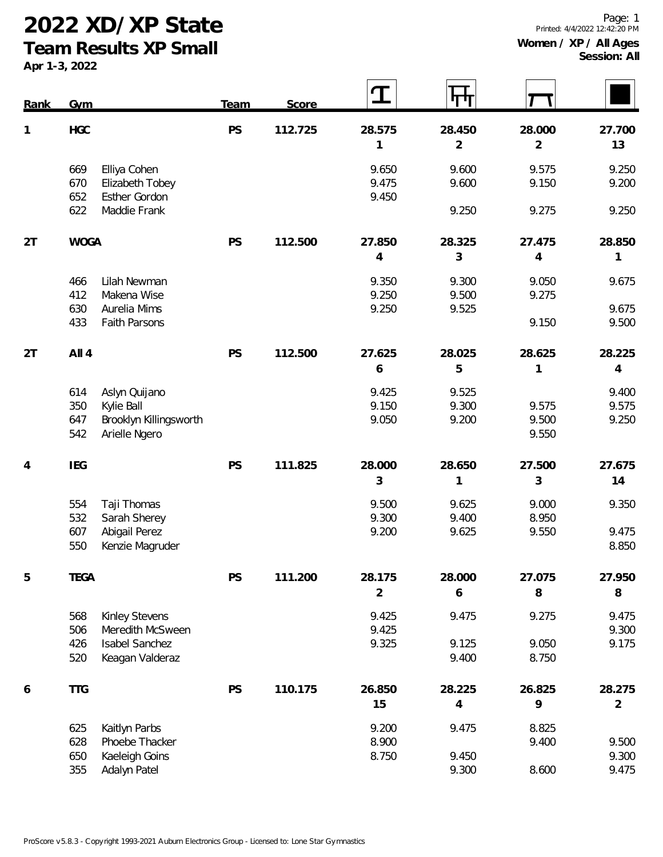**Team Results XP Small**

| Rank | $Gv$ <sub>m</sub>                                                                                   | <b>Team</b> | Score   |                          | पाण                      |                          |                          |
|------|-----------------------------------------------------------------------------------------------------|-------------|---------|--------------------------|--------------------------|--------------------------|--------------------------|
| 1    | HGC                                                                                                 | PS          | 112.725 | 28.575<br>1              | 28.450<br>$\overline{2}$ | 28.000<br>$\overline{2}$ | 27.700<br>13             |
|      | 669<br>Elliya Cohen<br>670<br>Elizabeth Tobey<br>652<br><b>Esther Gordon</b>                        |             |         | 9.650<br>9.475<br>9.450  | 9.600<br>9.600           | 9.575<br>9.150           | 9.250<br>9.200           |
|      | 622<br>Maddie Frank                                                                                 |             |         |                          | 9.250                    | 9.275                    | 9.250                    |
| 2T   | <b>WOGA</b>                                                                                         | PS          | 112.500 | 27.850<br>4              | 28.325<br>3              | 27.475<br>$\overline{4}$ | 28.850<br>1              |
|      | 466<br>Lilah Newman<br>412<br>Makena Wise                                                           |             |         | 9.350<br>9.250           | 9.300<br>9.500           | 9.050<br>9.275           | 9.675                    |
|      | 630<br>Aurelia Mims<br>433<br>Faith Parsons                                                         |             |         | 9.250                    | 9.525                    | 9.150                    | 9.675<br>9.500           |
| 2T   | All 4                                                                                               | PS          | 112.500 | 27.625<br>6              | 28.025<br>5              | 28.625<br>1              | 28.225<br>$\overline{4}$ |
|      | 614<br>Aslyn Quijano<br>350<br>Kylie Ball<br>Brooklyn Killingsworth<br>647<br>542<br>Arielle Ngero  |             |         | 9.425<br>9.150<br>9.050  | 9.525<br>9.300<br>9.200  | 9.575<br>9.500<br>9.550  | 9.400<br>9.575<br>9.250  |
| 4    | <b>IEG</b>                                                                                          | <b>PS</b>   | 111.825 | 28.000<br>3              | 28.650<br>1              | 27.500<br>3              | 27.675<br>14             |
|      | Taji Thomas<br>554<br>532<br>Sarah Sherey<br>Abigail Perez<br>607                                   |             |         | 9.500<br>9.300<br>9.200  | 9.625<br>9.400<br>9.625  | 9.000<br>8.950<br>9.550  | 9.350<br>9.475           |
|      | 550<br>Kenzie Magruder                                                                              |             |         |                          |                          |                          | 8.850                    |
| 5    | <b>TEGA</b>                                                                                         | PS          | 111.200 | 28.175<br>$\overline{2}$ | 28.000<br>6              | 27.075<br>$\, 8$         | 27.950<br>$\, 8$         |
|      | Kinley Stevens<br>568<br>506<br>Meredith McSween<br>Isabel Sanchez<br>426<br>Keagan Valderaz<br>520 |             |         | 9.425<br>9.425<br>9.325  | 9.475<br>9.125<br>9.400  | 9.275<br>9.050<br>8.750  | 9.475<br>9.300<br>9.175  |
| 6    | <b>TTG</b>                                                                                          | PS          | 110.175 | 26.850<br>15             | 28.225<br>$\overline{4}$ | 26.825<br>9              | 28.275<br>$\overline{2}$ |
|      | Kaitlyn Parbs<br>625<br>Phoebe Thacker<br>628<br>Kaeleigh Goins<br>650<br>Adalyn Patel<br>355       |             |         | 9.200<br>8.900<br>8.750  | 9.475<br>9.450<br>9.300  | 8.825<br>9.400<br>8.600  | 9.500<br>9.300<br>9.475  |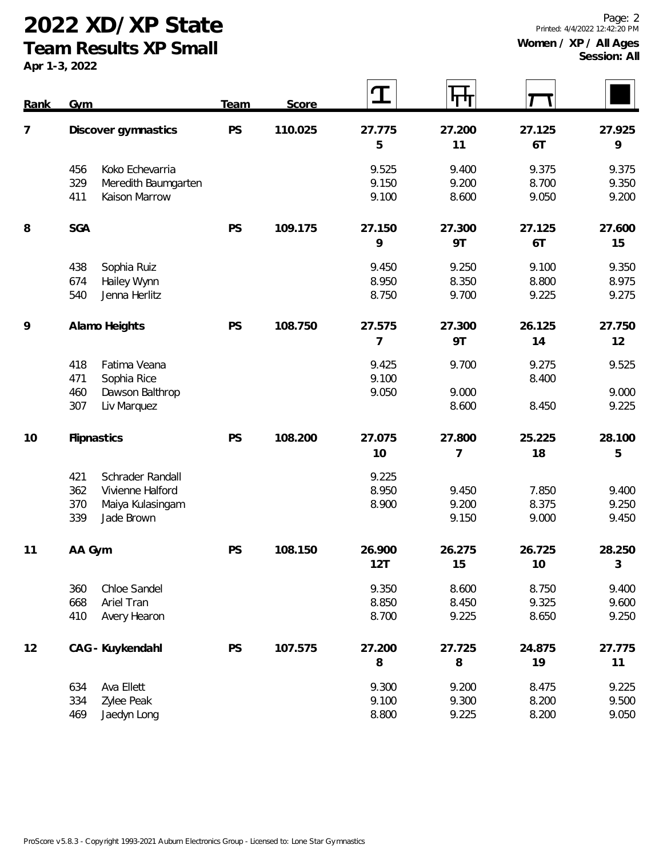**Team Results XP Small**

| Rank           | Gym                                                                    |                                                          | <b>Team</b> | Score   | $\bf{T}$                |                         |                         |                         |
|----------------|------------------------------------------------------------------------|----------------------------------------------------------|-------------|---------|-------------------------|-------------------------|-------------------------|-------------------------|
| $\overline{7}$ | Discover gymnastics                                                    |                                                          | PS          | 110.025 | 27.775<br>5             | 27.200<br>11            | 27.125<br>6T            | 27.925<br>9             |
|                | 456<br>329<br>411                                                      | Koko Echevarria<br>Meredith Baumgarten<br>Kaison Marrow  |             |         | 9.525<br>9.150<br>9.100 | 9.400<br>9.200<br>8.600 | 9.375<br>8.700<br>9.050 | 9.375<br>9.350<br>9.200 |
| 8              | <b>SGA</b>                                                             |                                                          | PS          | 109.175 | 27.150<br>9             | 27.300<br>9T            | 27.125<br>6T            | 27.600<br>15            |
|                | 438<br>Sophia Ruiz<br>674<br>Hailey Wynn<br>540<br>Jenna Herlitz       |                                                          |             |         | 9.450<br>8.950<br>8.750 | 9.250<br>8.350<br>9.700 | 9.100<br>8.800<br>9.225 | 9.350<br>8.975<br>9.275 |
| 9              | Alamo Heights                                                          |                                                          | PS          | 108.750 | 27.575<br>7             | 27.300<br><b>9T</b>     | 26.125<br>14            | 27.750<br>12            |
|                | Fatima Veana<br>418<br>471<br>Sophia Rice<br>460<br>307<br>Liv Marquez | Dawson Balthrop                                          |             |         | 9.425<br>9.100<br>9.050 | 9.700<br>9.000<br>8.600 | 9.275<br>8.400<br>8.450 | 9.525<br>9.000<br>9.225 |
| 10             | Flipnastics                                                            |                                                          | PS          | 108.200 | 27.075<br>10            | 27.800<br>7             | 25.225<br>18            | 28.100<br>5             |
|                | 421<br>362<br>370<br>339<br>Jade Brown                                 | Schrader Randall<br>Vivienne Halford<br>Maiya Kulasingam |             |         | 9.225<br>8.950<br>8.900 | 9.450<br>9.200<br>9.150 | 7.850<br>8.375<br>9.000 | 9.400<br>9.250<br>9.450 |
| 11             | AA Gym                                                                 |                                                          | PS          | 108.150 | 26.900<br>12T           | 26.275<br>15            | 26.725<br>10            | 28.250<br>$\sqrt{3}$    |
|                | Chloe Sandel<br>360<br>668<br>Ariel Tran<br>410<br>Avery Hearon        |                                                          |             |         | 9.350<br>8.850<br>8.700 | 8.600<br>8.450<br>9.225 | 8.750<br>9.325<br>8.650 | 9.400<br>9.600<br>9.250 |
| 12             | CAG - Kuykendahl                                                       |                                                          | PS          | 107.575 | 27.200<br>8             | 27.725<br>8             | 24.875<br>19            | 27.775<br>11            |
|                | Ava Ellett<br>634<br>334<br>Zylee Peak<br>469<br>Jaedyn Long           |                                                          |             |         | 9.300<br>9.100<br>8.800 | 9.200<br>9.300<br>9.225 | 8.475<br>8.200<br>8.200 | 9.225<br>9.500<br>9.050 |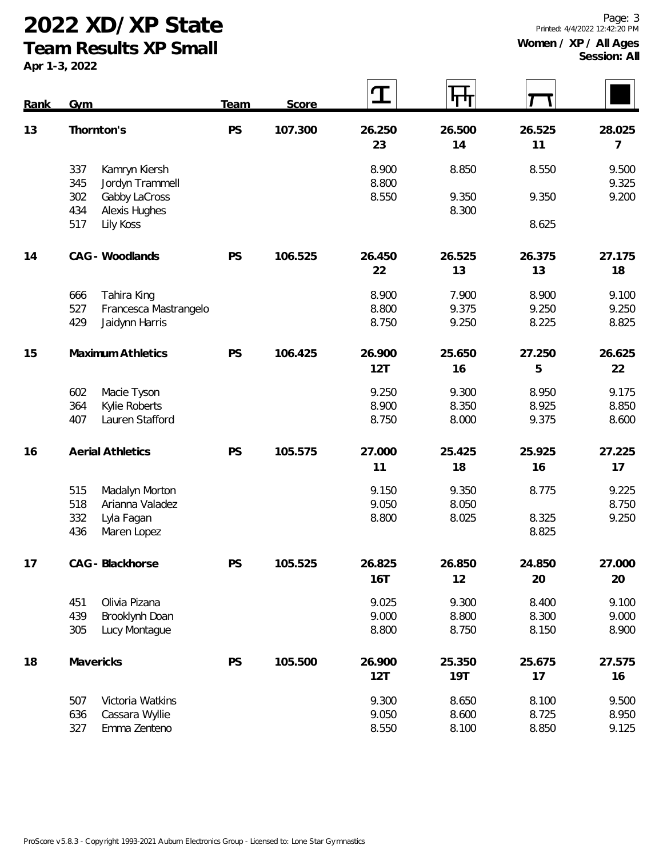**Team Results XP Small**

| Rank | <b>Gym</b>                                                                                 | Team | Score   | T                       | पाग                     |                         |                         |
|------|--------------------------------------------------------------------------------------------|------|---------|-------------------------|-------------------------|-------------------------|-------------------------|
| 13   | Thornton's                                                                                 | PS   | 107.300 | 26.250<br>23            | 26.500<br>14            | 26.525<br>11            | 28.025<br>7             |
|      | 337<br>Kamryn Kiersh<br>345<br>Jordyn Trammell                                             |      |         | 8.900<br>8.800          | 8.850                   | 8.550                   | 9.500<br>9.325          |
|      | 302<br>Gabby LaCross<br>434<br>Alexis Hughes<br>517<br>Lily Koss                           |      |         | 8.550                   | 9.350<br>8.300          | 9.350<br>8.625          | 9.200                   |
| 14   | CAG - Woodlands                                                                            | PS   | 106.525 | 26.450<br>22            | 26.525<br>13            | 26.375<br>13            | 27.175<br>18            |
|      | 666<br>Tahira King<br>527<br>Francesca Mastrangelo<br>429<br>Jaidynn Harris                |      |         | 8.900<br>8.800<br>8.750 | 7.900<br>9.375<br>9.250 | 8.900<br>9.250<br>8.225 | 9.100<br>9.250<br>8.825 |
| 15   | <b>Maximum Athletics</b>                                                                   | PS   | 106.425 | 26.900<br>12T           | 25.650<br>16            | 27.250<br>5             | 26.625<br>22            |
|      | 602<br>Macie Tyson<br>Kylie Roberts<br>364<br>Lauren Stafford<br>407                       |      |         | 9.250<br>8.900<br>8.750 | 9.300<br>8.350<br>8.000 | 8.950<br>8.925<br>9.375 | 9.175<br>8.850<br>8.600 |
| 16   | <b>Aerial Athletics</b>                                                                    | PS   | 105.575 | 27.000<br>11            | 25.425<br>18            | 25.925<br>16            | 27.225<br>17            |
|      | 515<br>Madalyn Morton<br>518<br>Arianna Valadez<br>332<br>Lyla Fagan<br>436<br>Maren Lopez |      |         | 9.150<br>9.050<br>8.800 | 9.350<br>8.050<br>8.025 | 8.775<br>8.325<br>8.825 | 9.225<br>8.750<br>9.250 |
| 17   | CAG - Blackhorse                                                                           | PS   | 105.525 | 26.825<br><b>16T</b>    | 26.850<br>12            | 24.850<br>20            | 27.000<br>20            |
|      | 451<br>Olivia Pizana<br>439<br>Brooklynh Doan<br>305<br>Lucy Montague                      |      |         | 9.025<br>9.000<br>8.800 | 9.300<br>8.800<br>8.750 | 8.400<br>8.300<br>8.150 | 9.100<br>9.000<br>8.900 |
| 18   | Mavericks                                                                                  | PS   | 105.500 | 26.900<br>12T           | 25.350<br><b>19T</b>    | 25.675<br>17            | 27.575<br>16            |
|      | Victoria Watkins<br>507<br>636<br>Cassara Wyllie<br>327<br>Emma Zenteno                    |      |         | 9.300<br>9.050<br>8.550 | 8.650<br>8.600<br>8.100 | 8.100<br>8.725<br>8.850 | 9.500<br>8.950<br>9.125 |